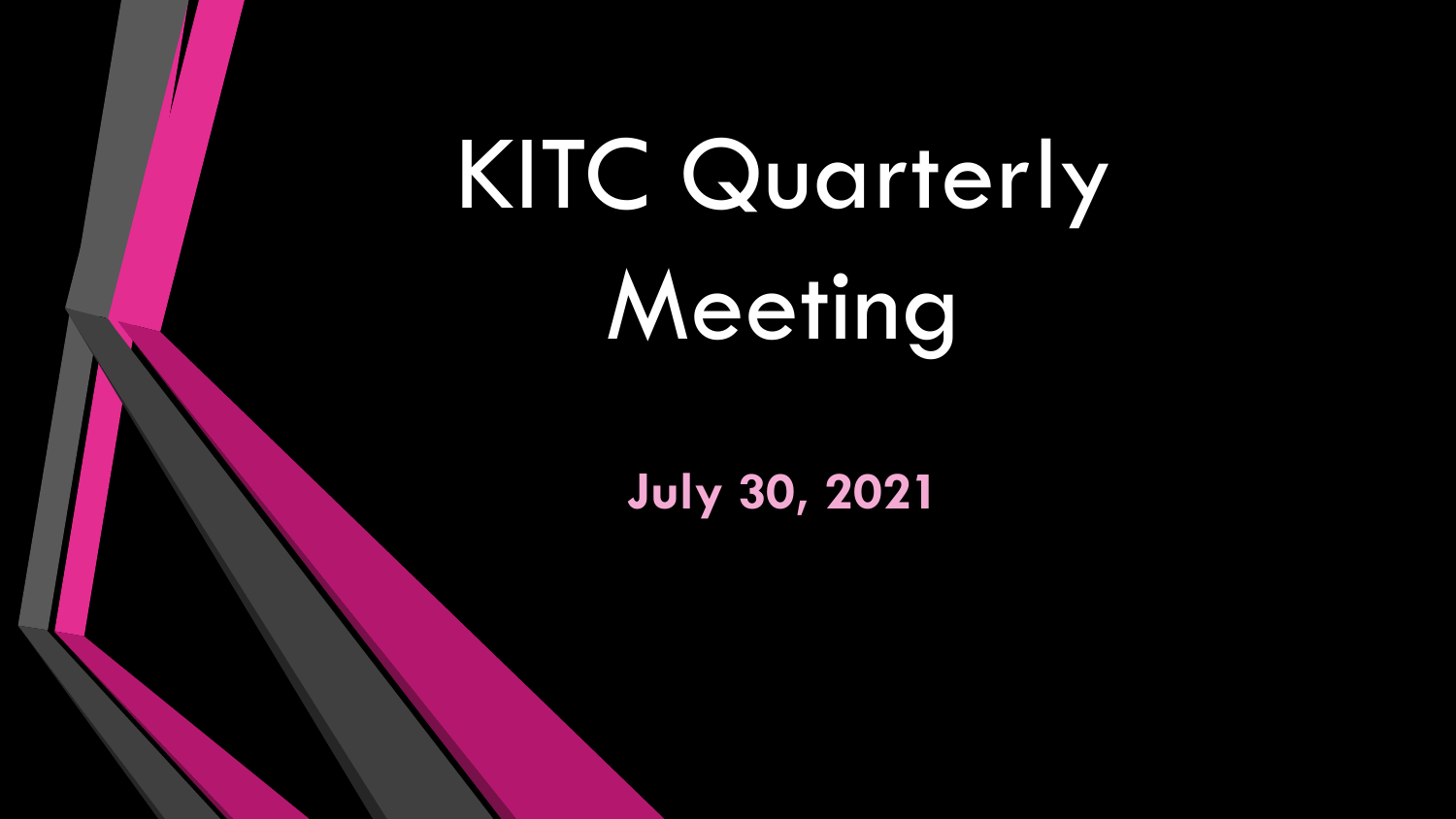## KITC Quarterly Meeting

**July 30, 2021**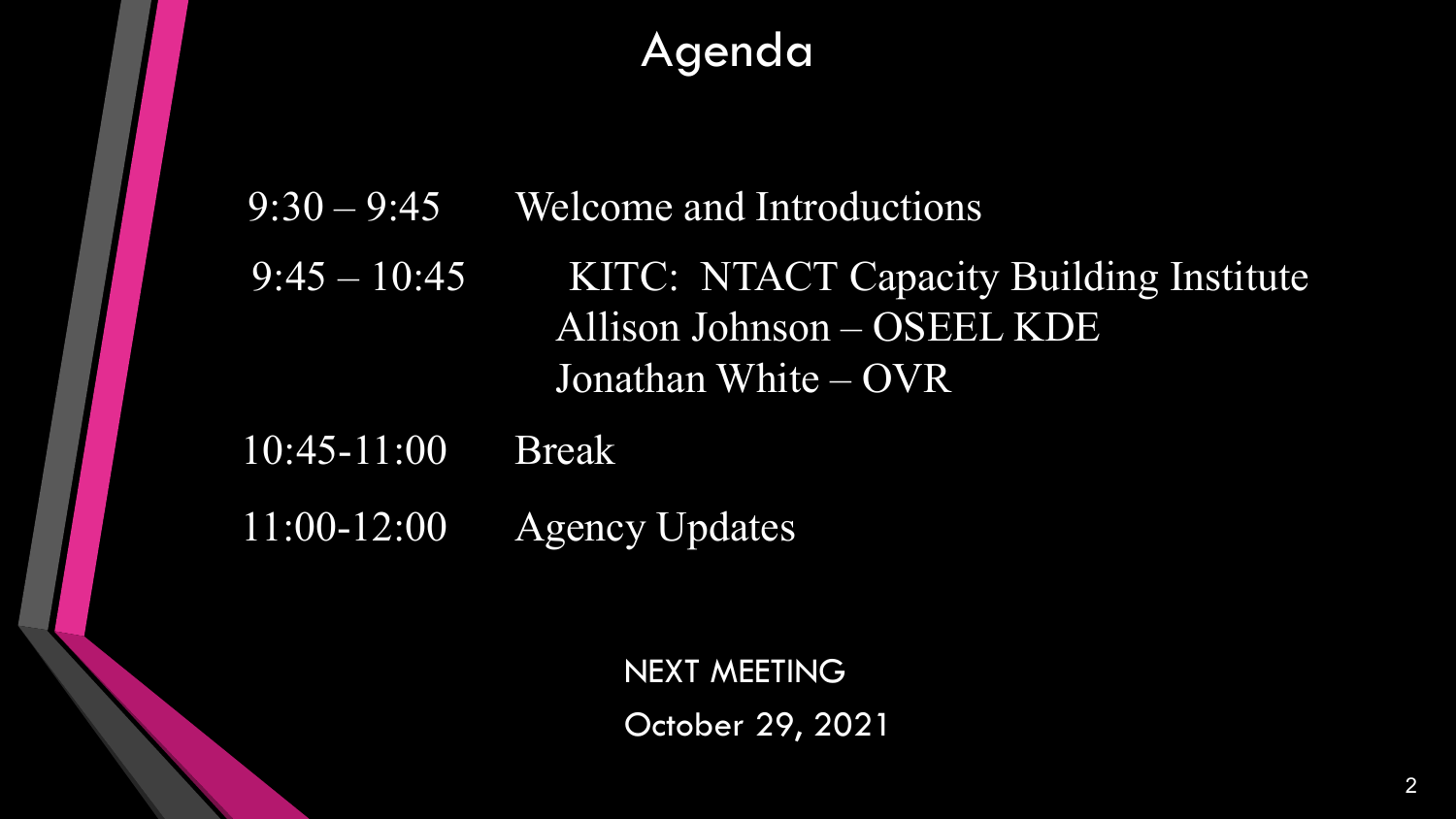#### Agenda

9:30 – 9:45 Welcome and Introductions

9:45 – 10:45 KITC: NTACT Capacity Building Institute Allison Johnson – OSEEL KDE Jonathan White – OVR

10:45-11:00 Break

11:00-12:00 Agency Updates

NEXT MEETING October 29, 2021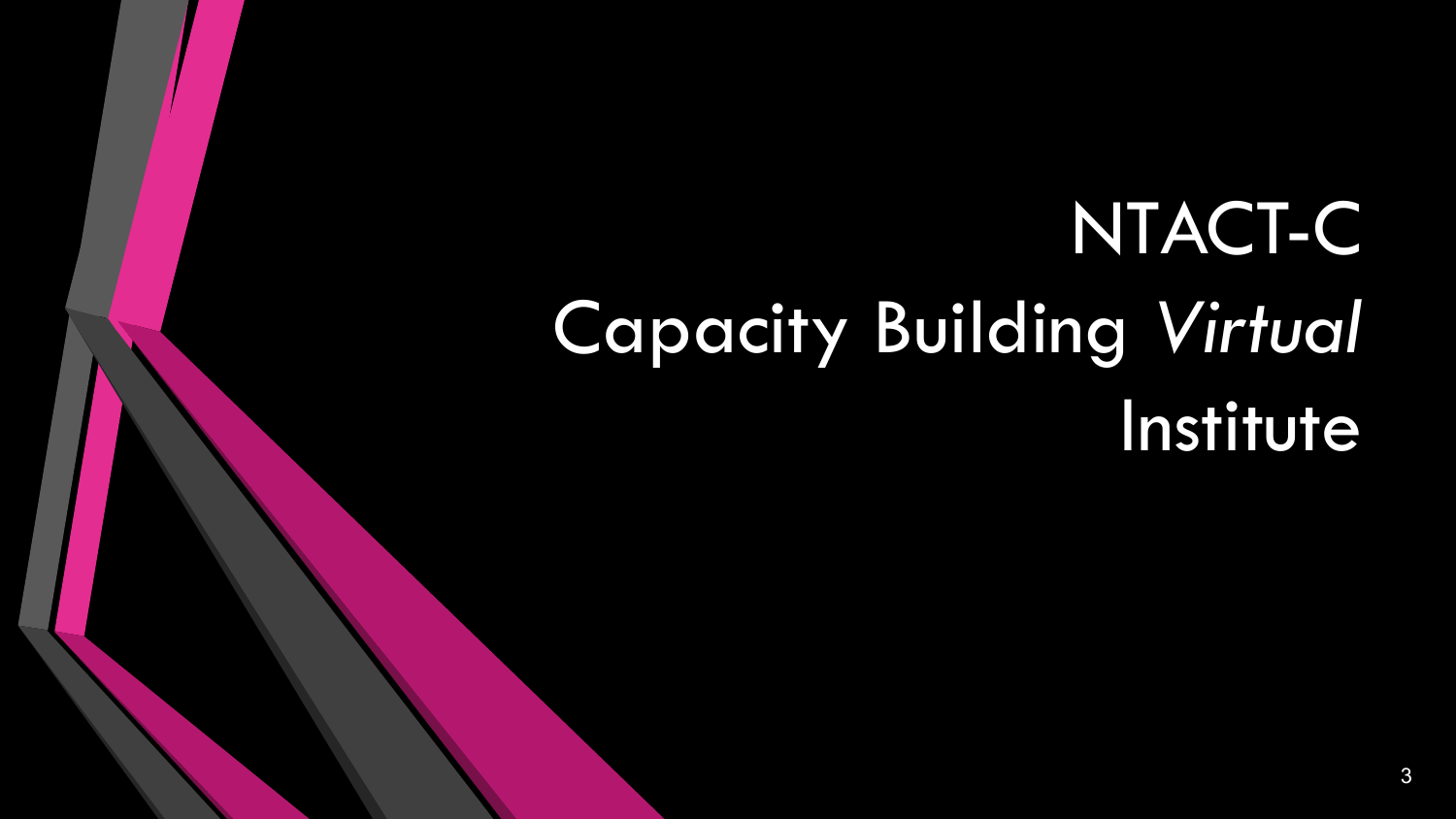### NTACT-C Capacity Building *Virtual* Institute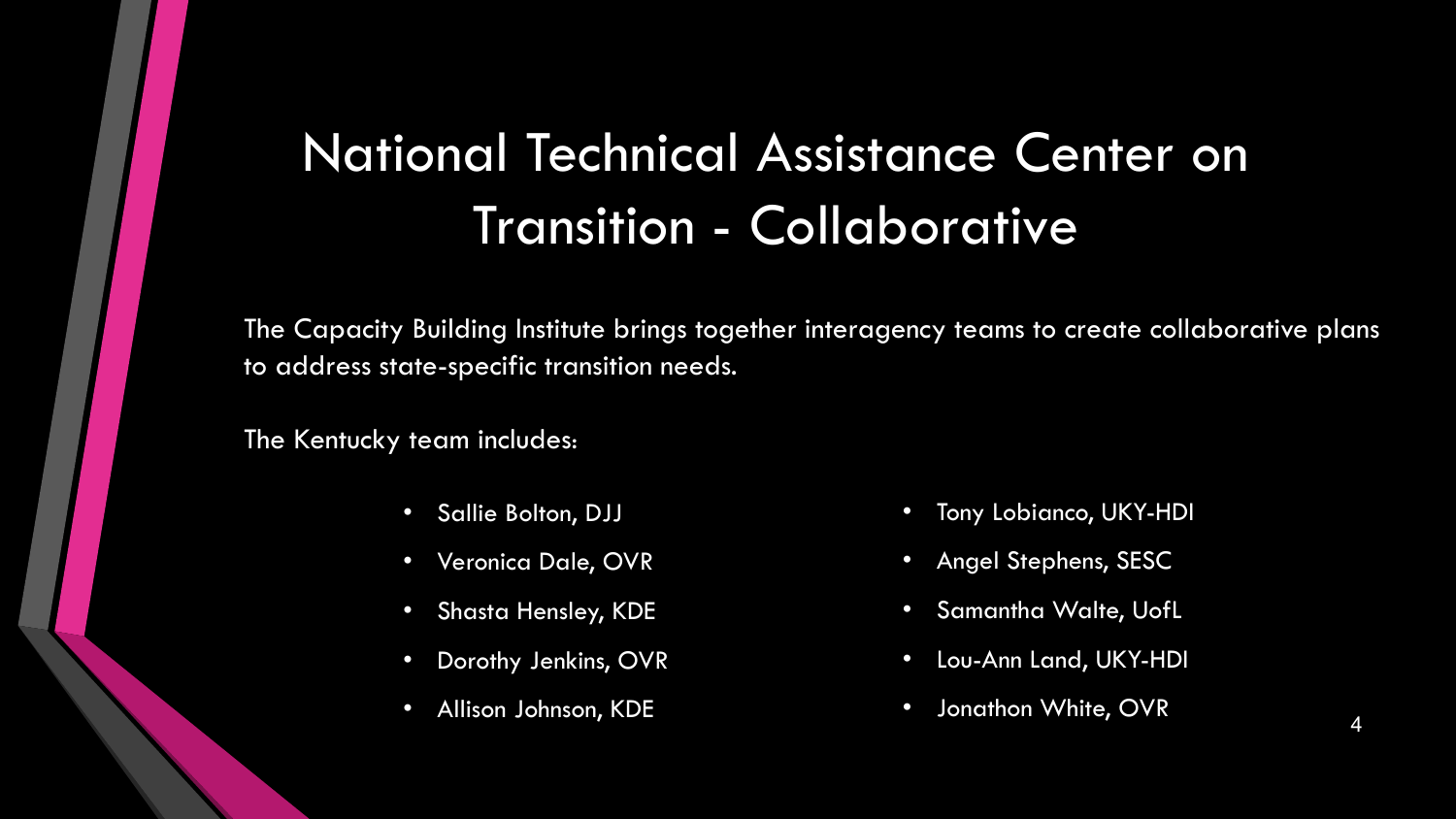#### National Technical Assistance Center on Transition - Collaborative

The Capacity Building Institute brings together interagency teams to create collaborative plans to address state-specific transition needs.

The Kentucky team includes:

- Sallie Bolton, DJJ
- Veronica Dale, OVR
- Shasta Hensley, KDE
- Dorothy Jenkins, OVR
- Allison Johnson, KDE
- Tony Lobianco, UKY-HDI
- Angel Stephens, SESC
- Samantha Walte, UofL
- Lou-Ann Land, UKY-HDI
- Jonathon White, OVR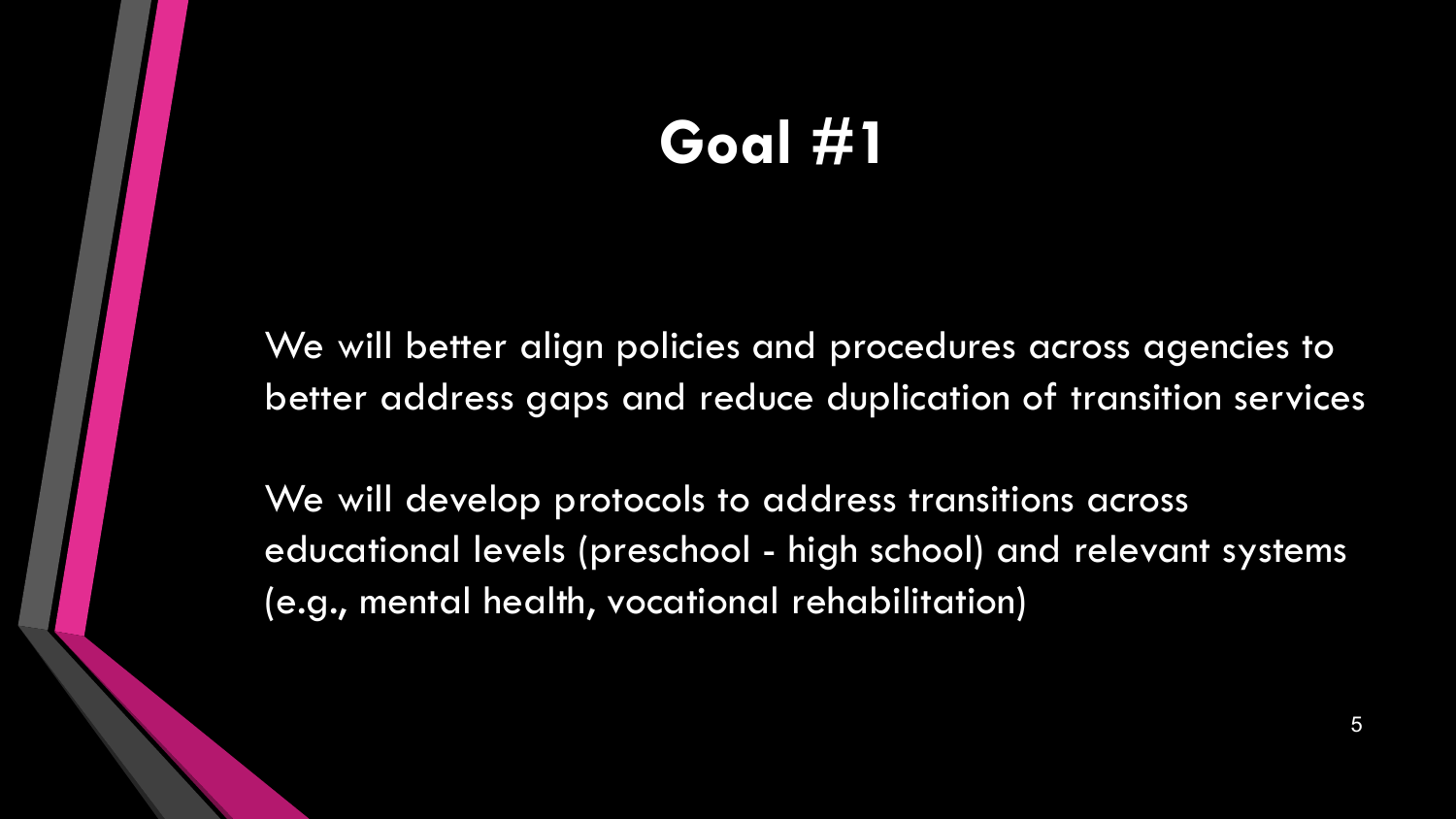#### **Goal #1**

We will better align policies and procedures across agencies to better address gaps and reduce duplication of transition services

We will develop protocols to address transitions across educational levels (preschool - high school) and relevant systems (e.g., mental health, vocational rehabilitation)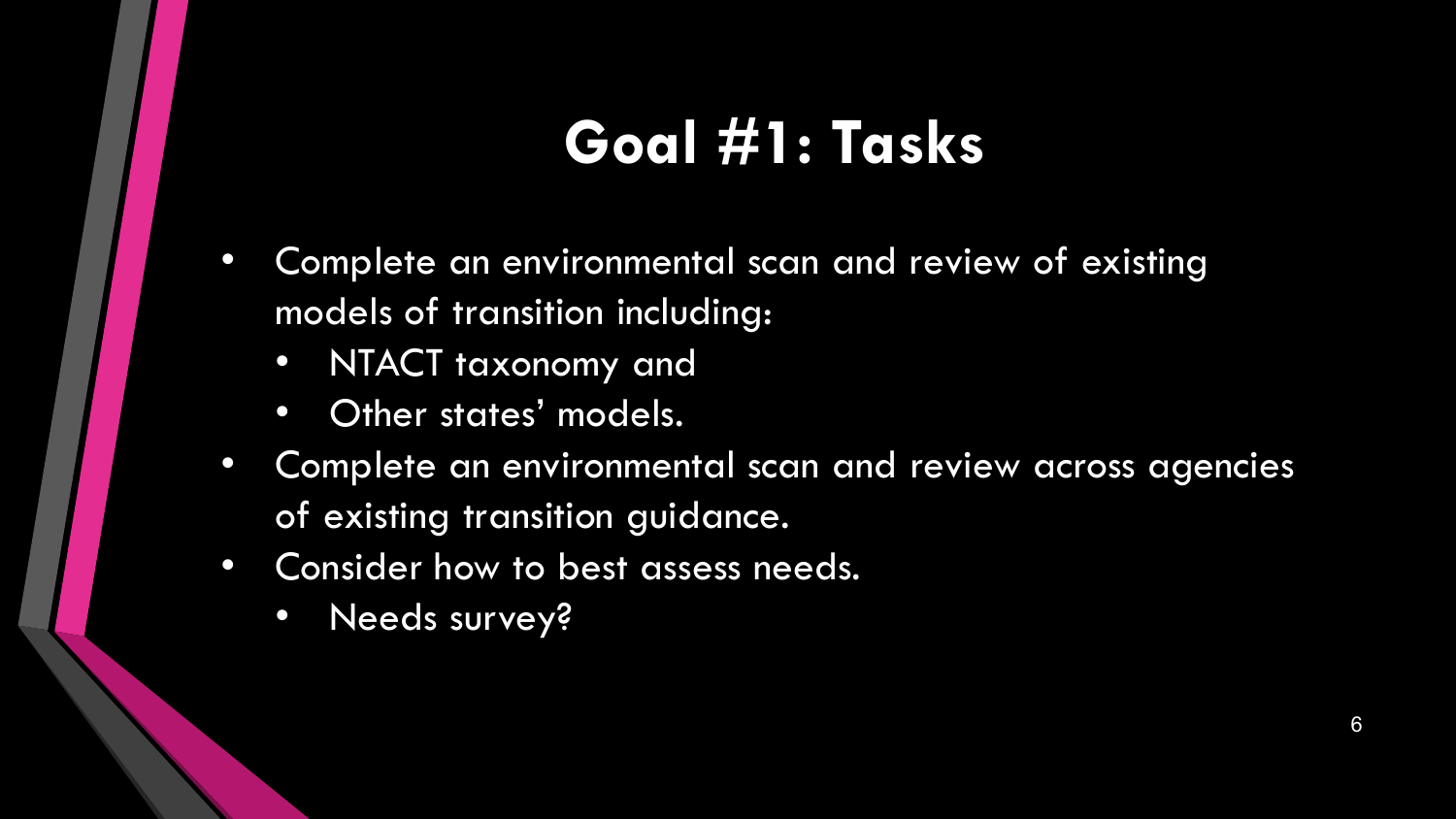#### **Goal #1: Tasks**

- Complete an environmental scan and review of existing models of transition including:
	- NTACT taxonomy and
	- Other states' models.
- Complete an environmental scan and review across agencies of existing transition guidance.
- Consider how to best assess needs.
	- Needs survey?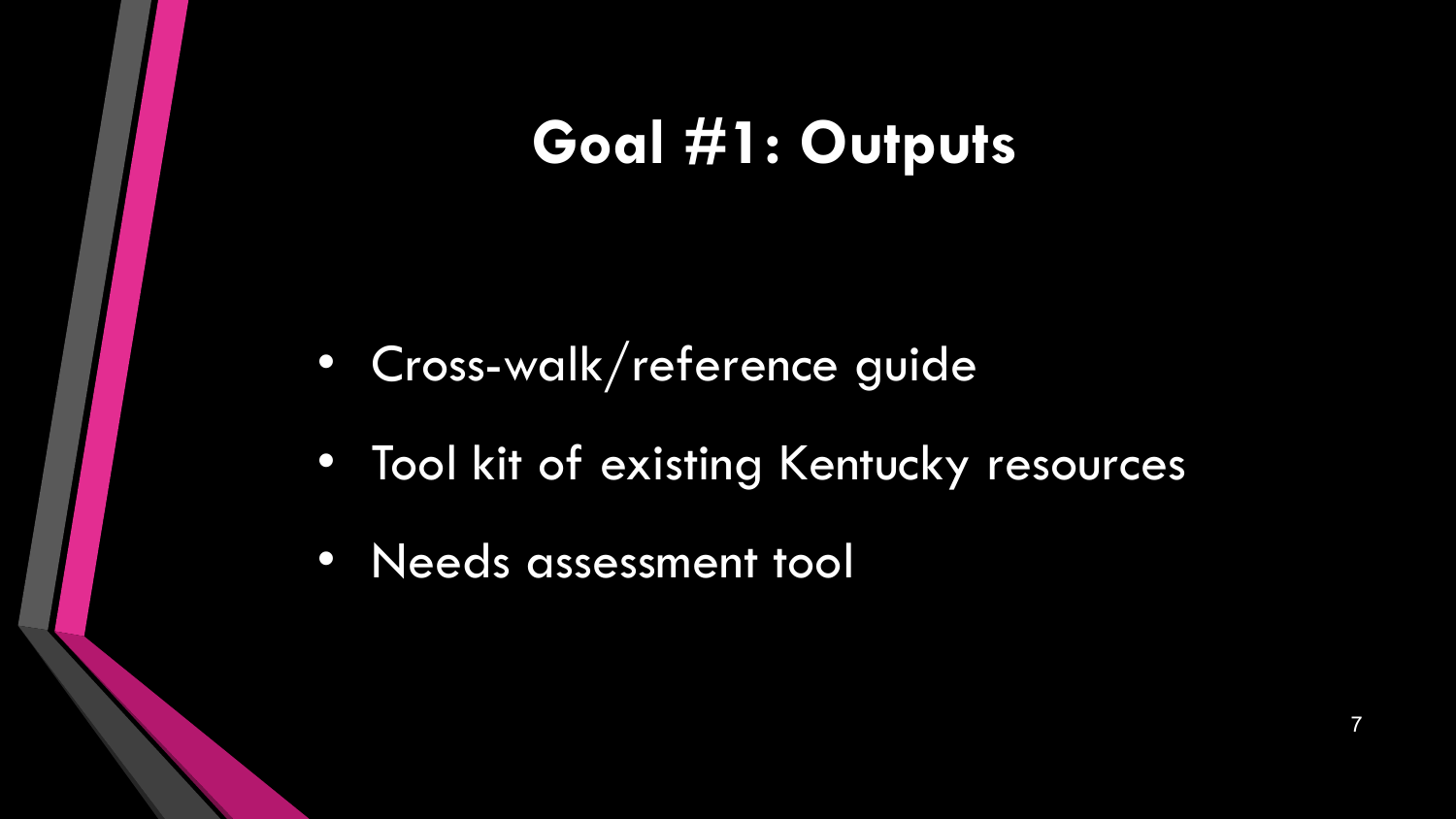#### **Goal #1: Outputs**

- Cross-walk/reference guide
- Tool kit of existing Kentucky resources
- Needs assessment tool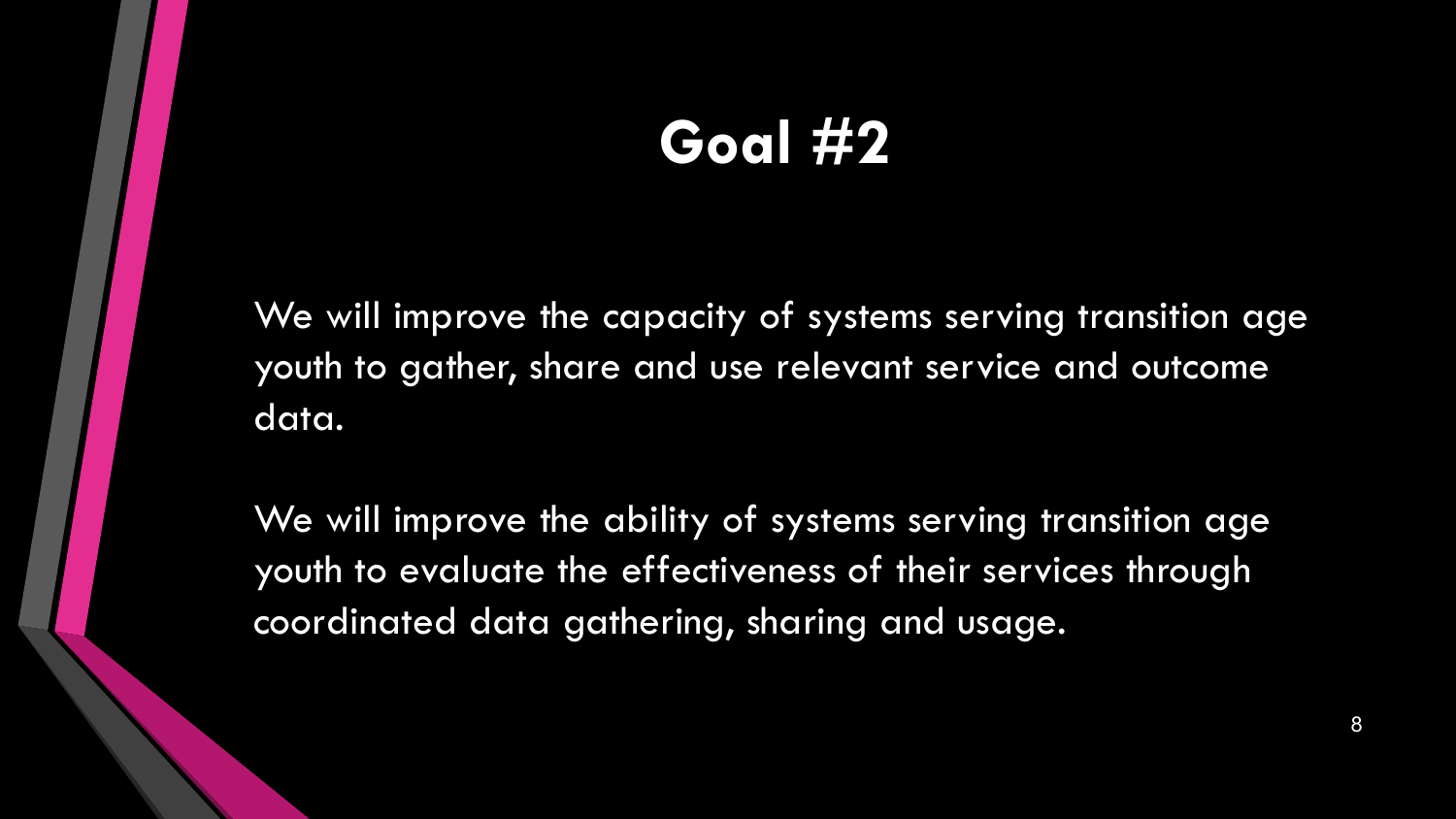#### **Goal #2**

We will improve the capacity of systems serving transition age youth to gather, share and use relevant service and outcome data.

We will improve the ability of systems serving transition age youth to evaluate the effectiveness of their services through coordinated data gathering, sharing and usage.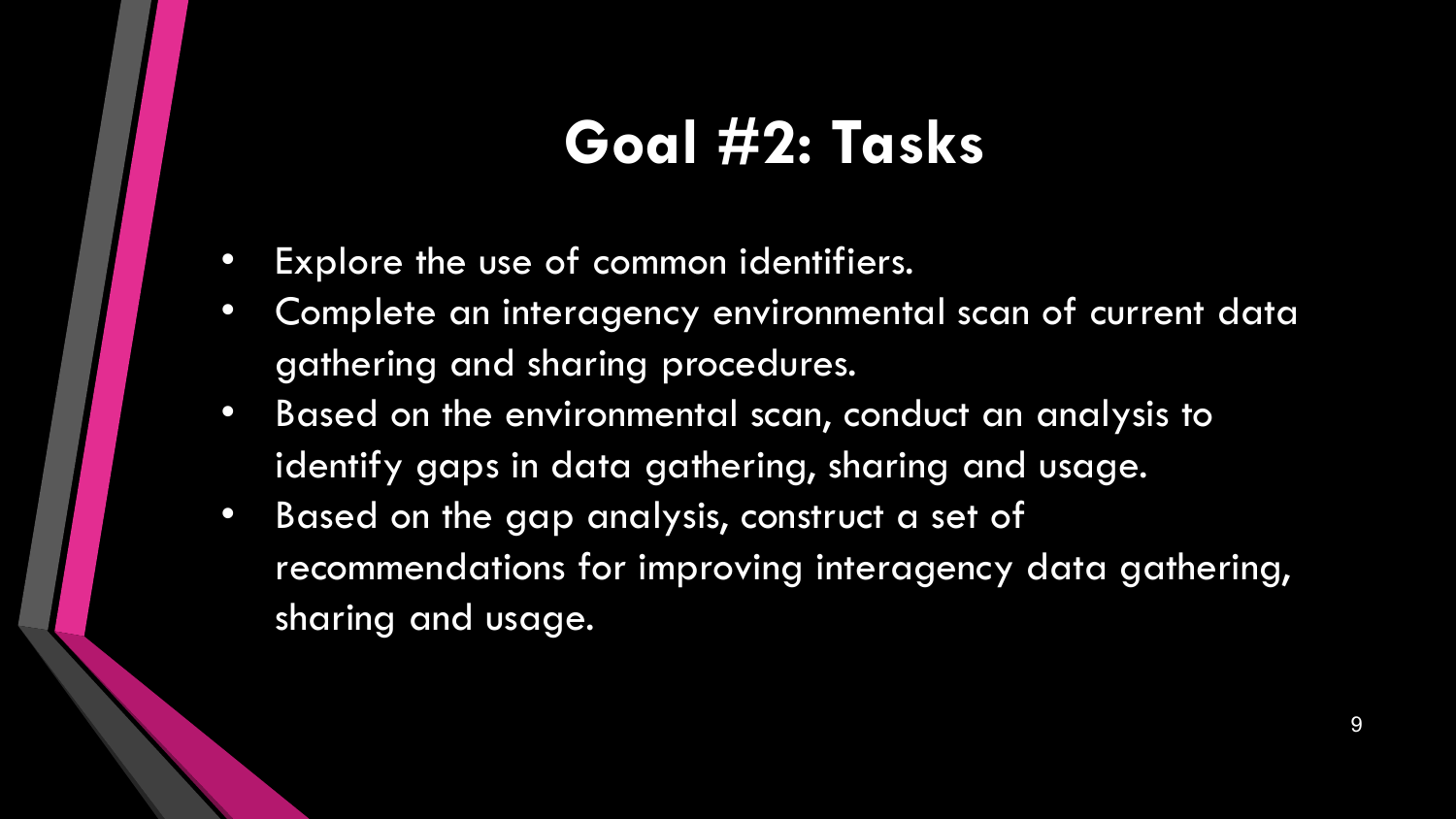#### **Goal #2: Tasks**

- Explore the use of common identifiers.
- Complete an interagency environmental scan of current data gathering and sharing procedures.
- Based on the environmental scan, conduct an analysis to identify gaps in data gathering, sharing and usage.
- Based on the gap analysis, construct a set of recommendations for improving interagency data gathering, sharing and usage.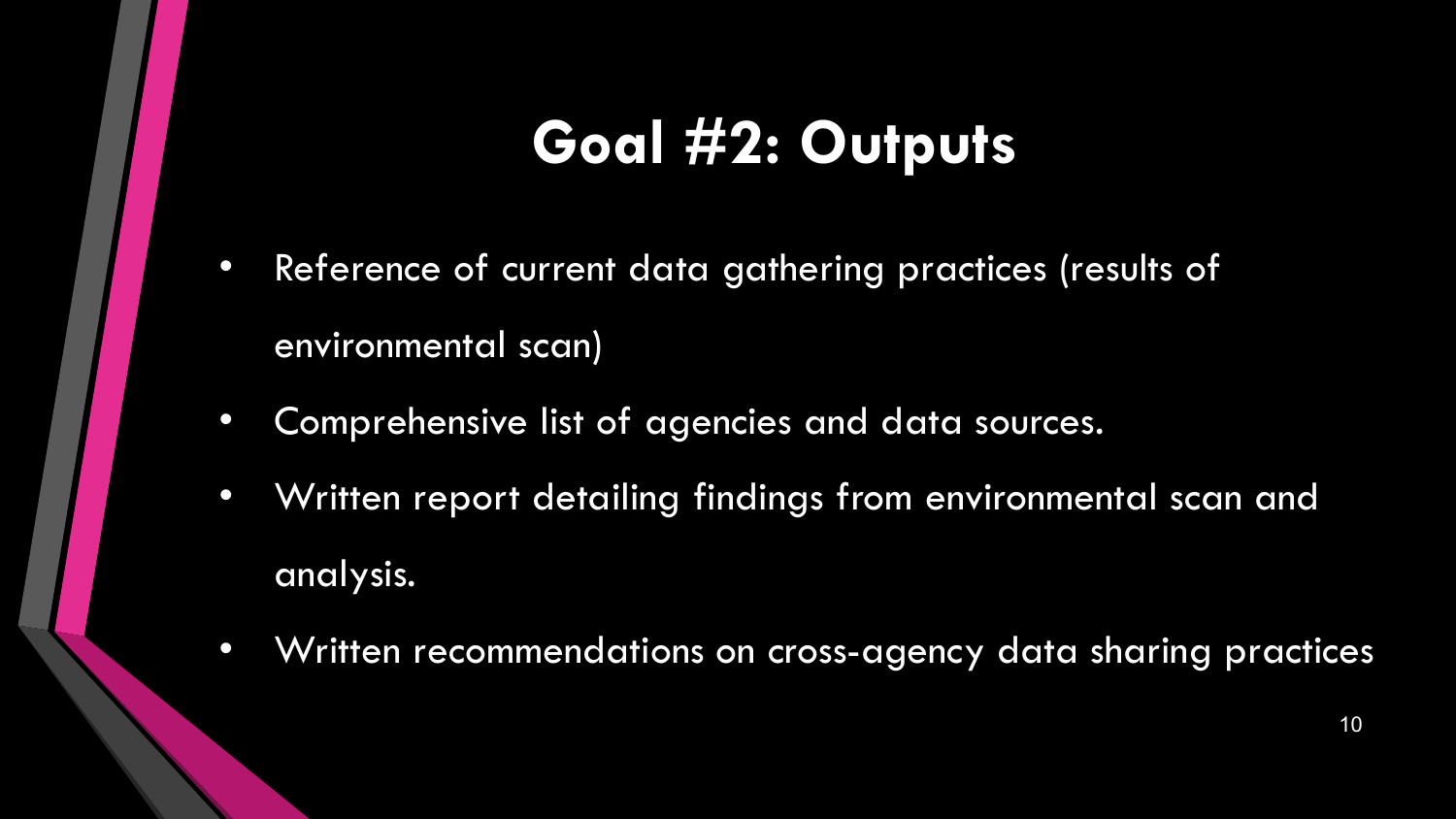#### **Goal #2: Outputs**

- Reference of current data gathering practices (results of environmental scan)
- Comprehensive list of agencies and data sources.
- Written report detailing findings from environmental scan and analysis.
- Written recommendations on cross-agency data sharing practices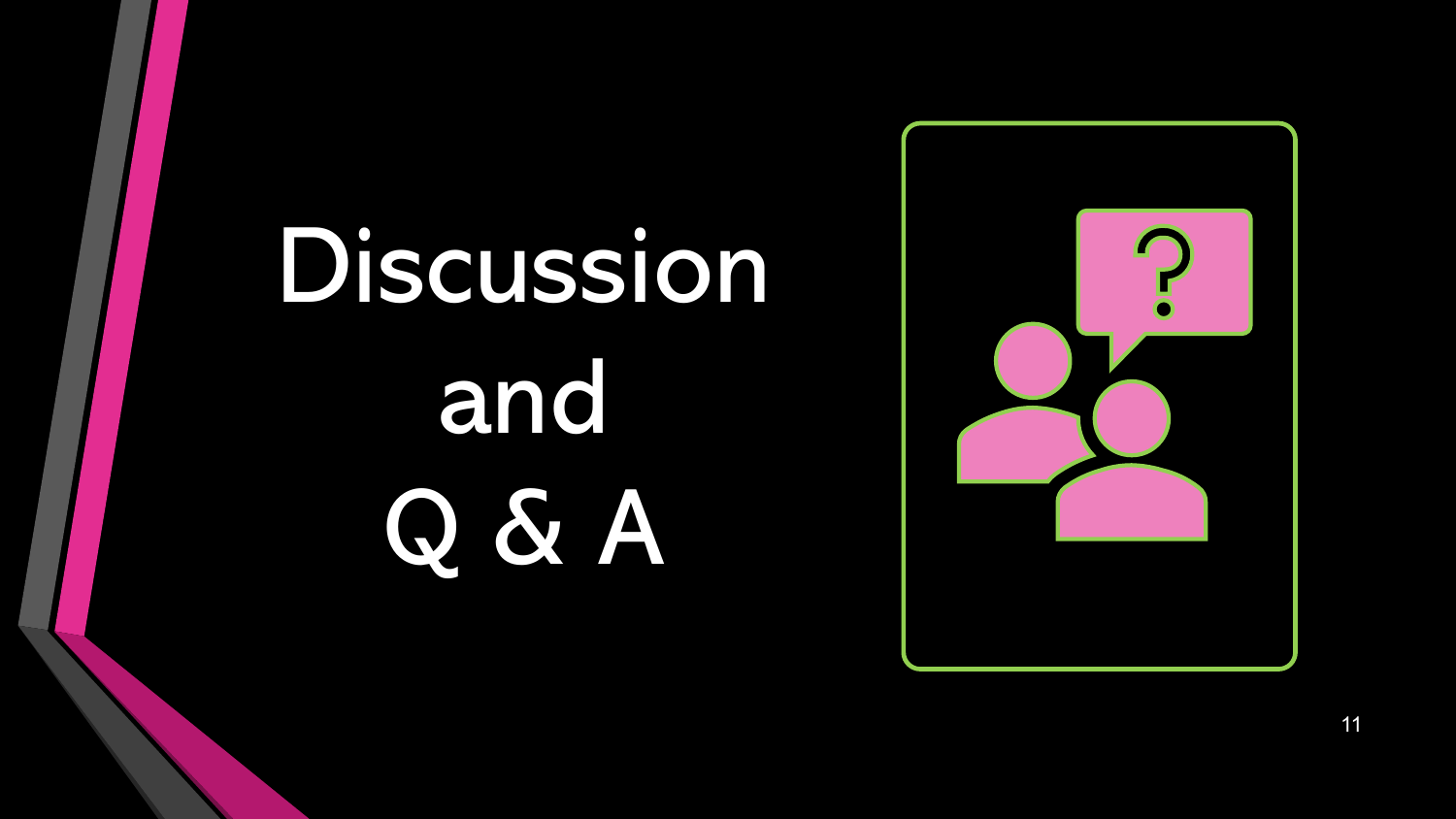# Discussion and Q & A

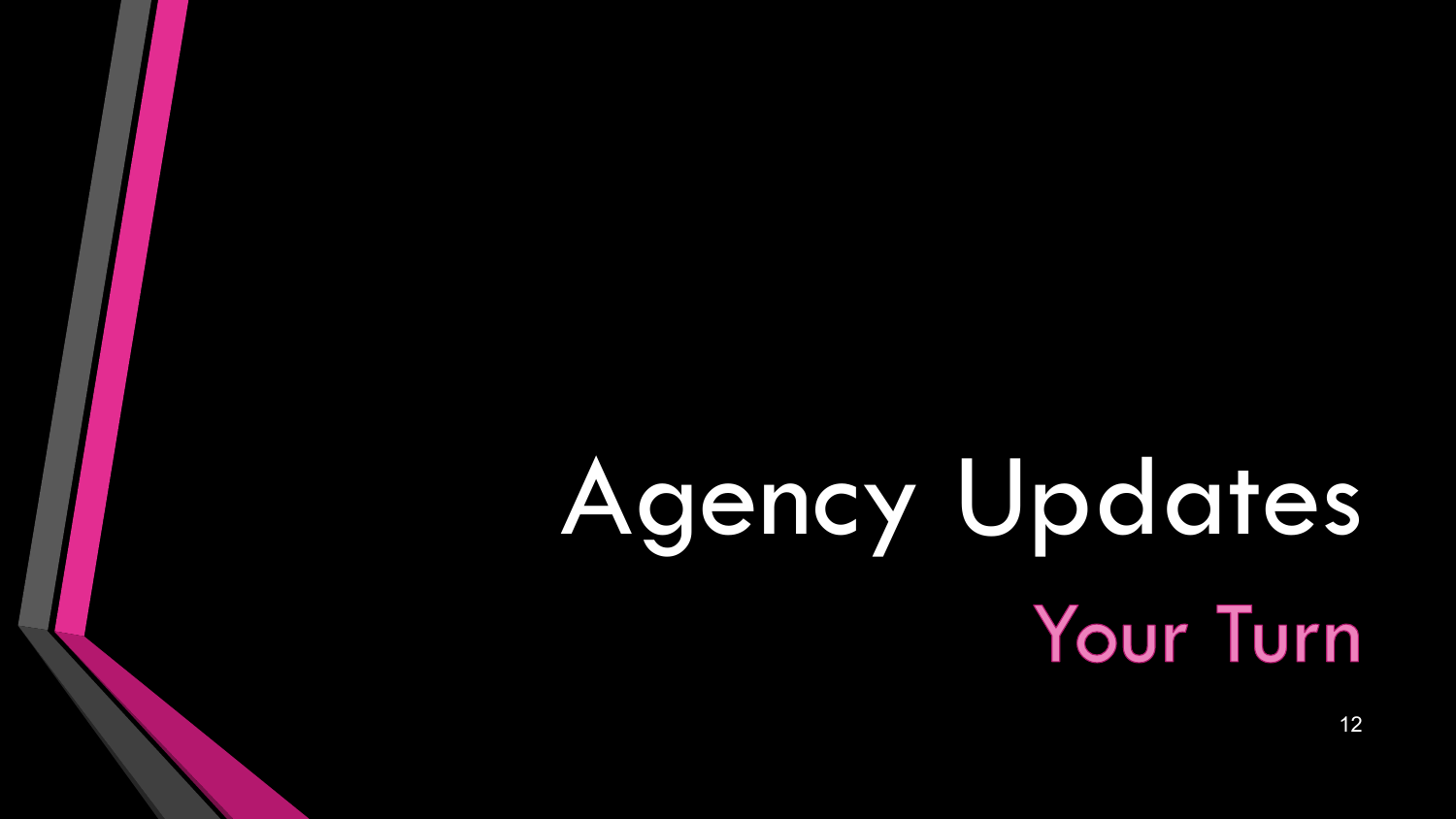## Agency Updates **Your Turn**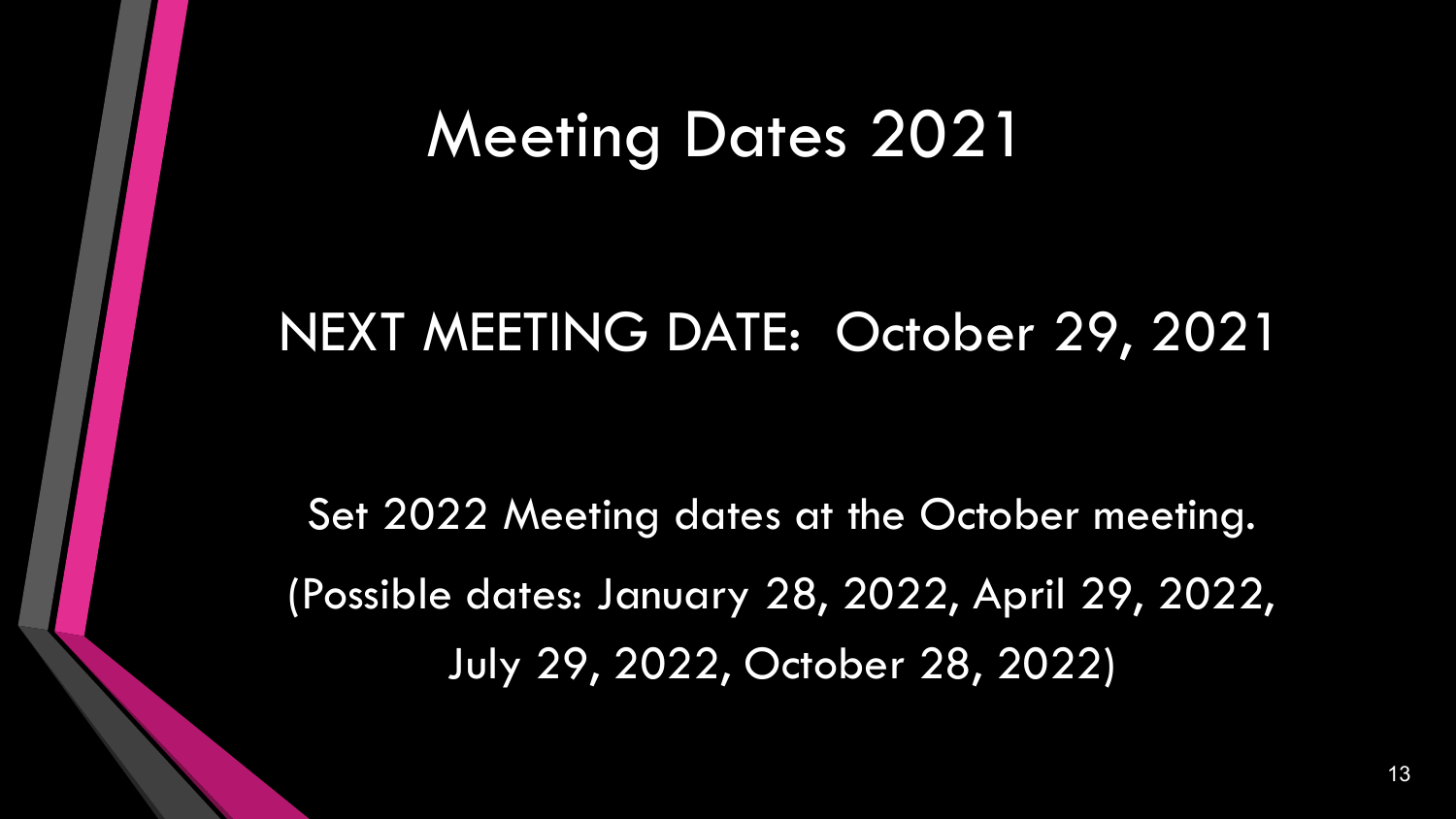#### Meeting Dates 2021

#### NEXT MEETING DATE: October 29, 2021

Set 2022 Meeting dates at the October meeting. (Possible dates: January 28, 2022, April 29, 2022, July 29, 2022, October 28, 2022)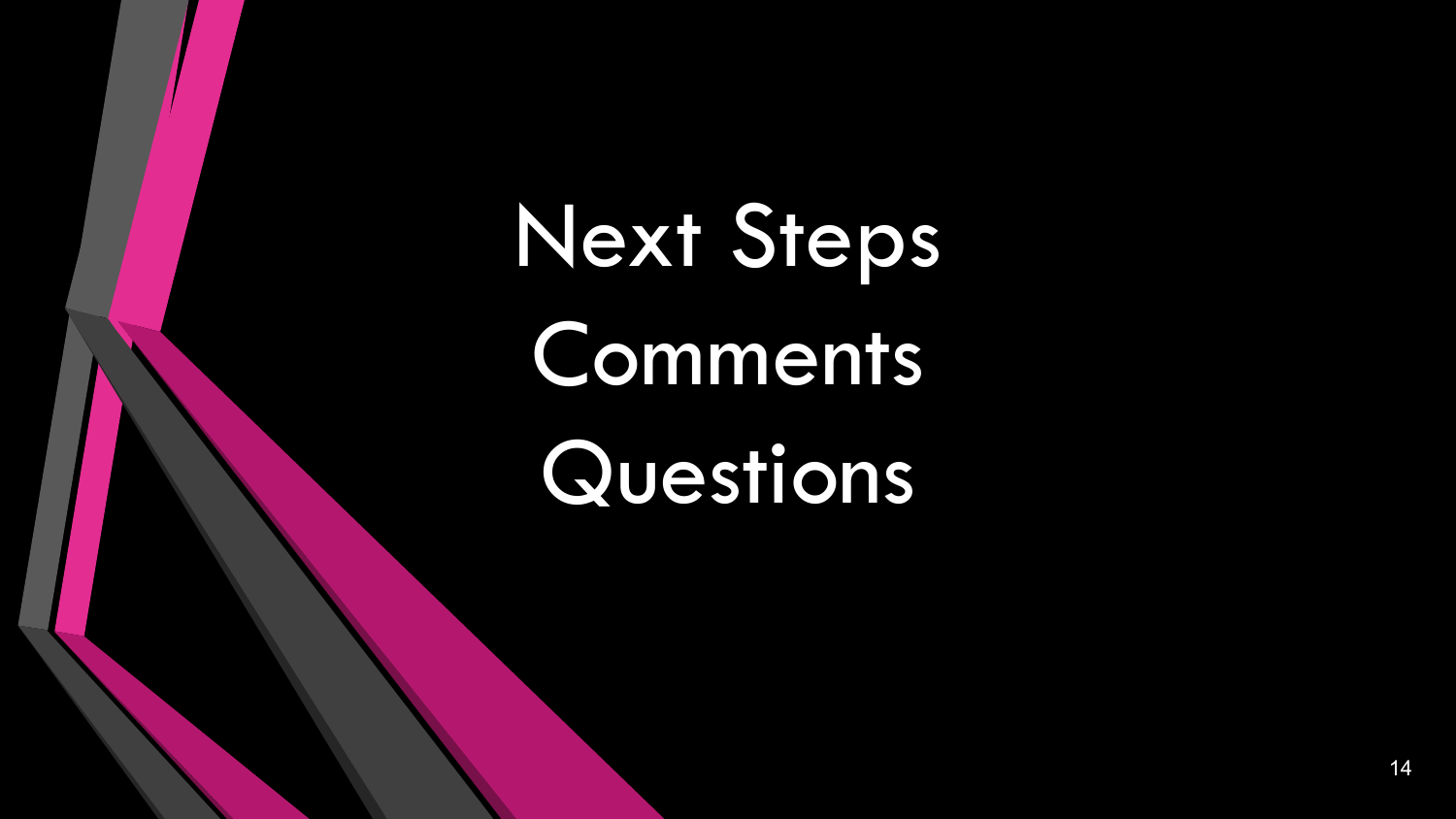Next Steps Comments Questions